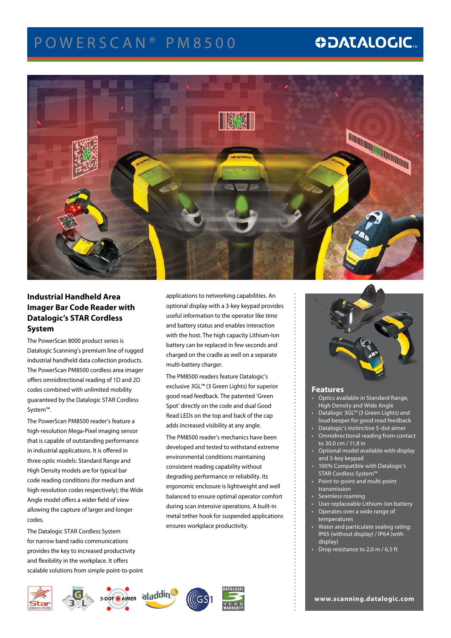# POWERSCAN<sup>®</sup> PM8500

# **ODATALOGIC.**



## **Industrial Handheld Area Imager Bar Code Reader with Datalogic's STAR Cordless System**

The PowerScan 8000 product series is Datalogic Scanning's premium line of rugged industrial handheld data collection products. The PowerScan PM8500 cordless area imager offers omnidirectional reading of 1D and 2D codes combined with unlimited mobility guaranteed by the Datalogic STAR Cordless System™.

The PowerScan PM8500 reader's feature a high-resolution Mega-Pixel imaging sensor that is capable of outstanding performance in industrial applications. It is offered in three optic models: Standard Range and High Density models are for typical bar code reading conditions (for medium and high-resolution codes respectively); the Wide Angle model offers a wider field of view allowing the capture of larger and longer codes.

The Datalogic STAR Cordless System for narrow band radio communications provides the key to increased productivity and flexibility in the workplace. It offers scalable solutions from simple point-to-point

S-DOT CAIMER **aladdin** 

**CORDLESS SYSTEM**

applications to networking capabilities. An optional display with a 3-key keypad provides useful information to the operator like time and battery status and enables interaction with the host. The high capacity Lithium-Ion battery can be replaced in few seconds and charged on the cradle as well on a separate multi-battery charger.

The PM8500 readers feature Datalogic's exclusive 3GL™ (3 Green Lights) for superior good read feedback. The patented 'Green Spot' directly on the code and dual Good Read LEDs on the top and back of the cap adds increased visibility at any angle.

The PM8500 reader's mechanics have been developed and tested to withstand extreme environmental conditions maintaining consistent reading capability without degrading performance or reliability. Its ergonomic enclosure is lightweight and well balanced to ensure optimal operator comfort during scan intensive operations. A built-in metal tether hook for suspended applications ensures workplace productivity.



### **Features**

- Optics available in Standard Range, High Density and Wide Angle
- Datalogic 3GL<sup>™</sup> (3 Green Lights) and loud beeper for good read feedback
- Datalogic's instinctive 5-dot aimer
- **Omnidirectional reading from contact** to 30,0 cm / 11,8 in
- Optional model available with display and 3-key keypad
- 100% Compatible with Datalogic's STAR Cordless System™
- Point-to-point and multi-point transmission
- Seamless roaming
- User replaceable Lithium-Ion battery
	- • Operates over a wide range of temperatures
	- Water and particulate sealing rating: IP65 (without display) / IP64 (with display)
	- Drop resistance to 2,0 m / 6,5 ft